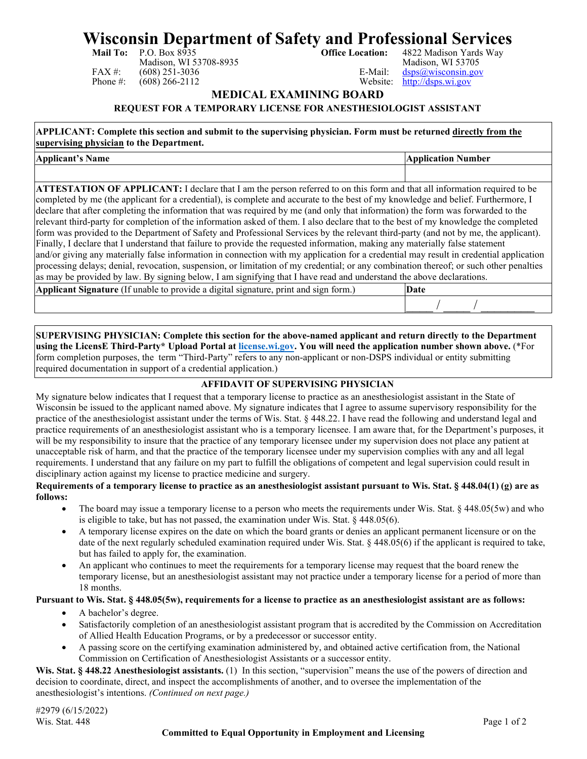# **Wisconsin Department of Safety and Professional Services**<br>Mail To: P.O. Box 8935<br>Office Location: 4822 Madison Yards Way

Madison, WI 53708-8935<br>(608) 251-3036 E-Mail: FAX #: (608) 251-3036<br>
Phone #: (608) 266-2112 <br>
Phone #: (608) 266-2112 <br>
Phone #: (608) 266-2112

4822 Madison Yards Way<br>Madison, WI 53705  $http://dsps.wi.gov$ 

**MEDICAL EXAMINING BOARD**

#### **REQUEST FOR A TEMPORARY LICENSE FOR ANESTHESIOLOGIST ASSISTANT**

**APPLICANT: Complete this section and submit to the supervising physician. Form must be returned directly from the supervising physician to the Department.**

**Applicant's Name Application Number**

**ATTESTATION OF APPLICANT:** I declare that I am the person referred to on this form and that all information required to be completed by me (the applicant for a credential), is complete and accurate to the best of my knowledge and belief. Furthermore, I declare that after completing the information that was required by me (and only that information) the form was forwarded to the relevant third-party for completion of the information asked of them. I also declare that to the best of my knowledge the completed form was provided to the Department of Safety and Professional Services by the relevant third-party (and not by me, the applicant). Finally, I declare that I understand that failure to provide the requested information, making any materially false statement and/or giving any materially false information in connection with my application for a credential may result in credential application processing delays; denial, revocation, suspension, or limitation of my credential; or any combination thereof; or such other penalties as may be provided by law. By signing below, I am signifying that I have read and understand the above declarations.

| Applicant<br>provide<br>le a digital signature.<br>and<br>orini<br>form.<br>: Signature (If<br>unable to<br><b>S101</b> | Date |  |
|-------------------------------------------------------------------------------------------------------------------------|------|--|
|                                                                                                                         |      |  |
|                                                                                                                         |      |  |

**SUPERVISING PHYSICIAN: Complete this section for the above-named applicant and return directly to the Department using the LicensE Third-Party\* Upload Portal at [license.wi.gov.](https://license.wi.gov/s/login/) You will need the application number shown above.** (\*For form completion purposes, the term "Third-Party" refers to any non-applicant or non-DSPS individual or entity submitting required documentation in support of a credential application.)

## **AFFIDAVIT OF SUPERVISING PHYSICIAN**

My signature below indicates that I request that a temporary license to practice as an anesthesiologist assistant in the State of Wisconsin be issued to the applicant named above. My signature indicates that I agree to assume supervisory responsibility for the practice of the anesthesiologist assistant under the terms of Wis. Stat. § 448.22. I have read the following and understand legal and practice requirements of an anesthesiologist assistant who is a temporary licensee. I am aware that, for the Department's purposes, it will be my responsibility to insure that the practice of any temporary licensee under my supervision does not place any patient at unacceptable risk of harm, and that the practice of the temporary licensee under my supervision complies with any and all legal requirements. I understand that any failure on my part to fulfill the obligations of competent and legal supervision could result in disciplinary action against my license to practice medicine and surgery.

#### **Requirements of a temporary license to practice as an anesthesiologist assistant pursuant to Wis. Stat. § 448.04(1) (g) are as follows:**

- The board may issue a temporary license to a person who meets the requirements under Wis. Stat. § 448.05(5w) and who is eligible to take, but has not passed, the examination under Wis. Stat. § 448.05(6).
- A temporary license expires on the date on which the board grants or denies an applicant permanent licensure or on the date of the next regularly scheduled examination required under Wis. Stat. § 448.05(6) if the applicant is required to take, but has failed to apply for, the examination.
- An applicant who continues to meet the requirements for a temporary license may request that the board renew the temporary license, but an anesthesiologist assistant may not practice under a temporary license for a period of more than 18 months.

#### **Pursuant to Wis. Stat. § 448.05(5w), requirements for a license to practice as an anesthesiologist assistant are as follows:**

- A bachelor's degree.
- Satisfactorily completion of an anesthesiologist assistant program that is accredited by the Commission on Accreditation of Allied Health Education Programs, or by a predecessor or successor entity.
- A passing score on the certifying examination administered by, and obtained active certification from, the National Commission on Certification of Anesthesiologist Assistants or a successor entity.

Wis. Stat. § 448.22 Anesthesiologist assistants. (1) In this section, "supervision" means the use of the powers of direction and decision to coordinate, direct, and inspect the accomplishments of another, and to oversee the implementation of the anesthesiologist's intentions. *(Continued on next page.)*

#2979 (6/15/2022) Wis. Stat. 448 Page 1 of 2